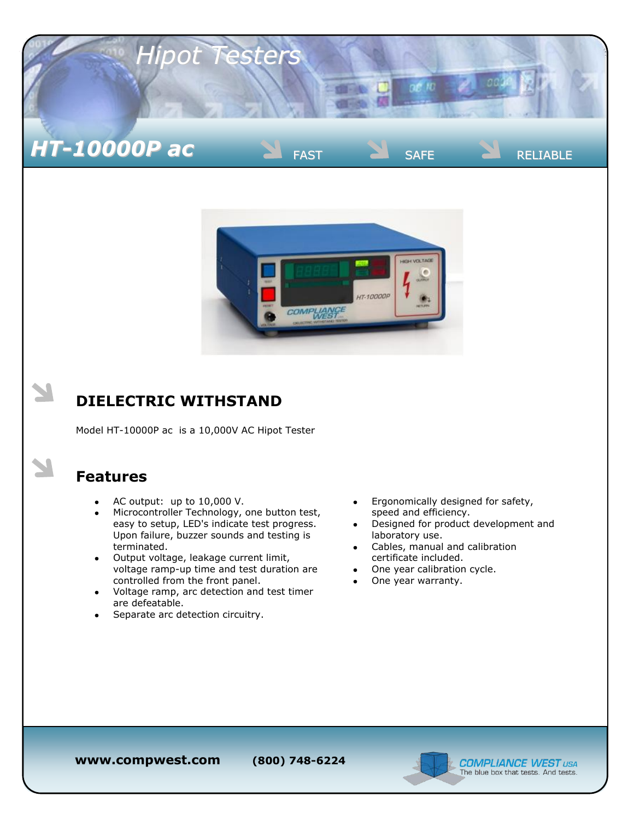



## **DIELECTRIC WITHSTAND**

Model HT-10000P ac is a 10,000V AC Hipot Tester

## **Features**

- AC output: up to 10,000 V.  $\bullet$
- Microcontroller Technology, one button test,  $\bullet$ easy to setup, LED's indicate test progress. Upon failure, buzzer sounds and testing is terminated.
- Output voltage, leakage current limit, voltage ramp-up time and test duration are controlled from the front panel.
- Voltage ramp, arc detection and test timer are defeatable.
- Separate arc detection circuitry.
- Ergonomically designed for safety, speed and efficiency.
- Designed for product development and laboratory use.
- Cables, manual and calibration certificate included.
- One year calibration cycle.
- One year warranty.

**www.compwest.com (800) 748-6224**